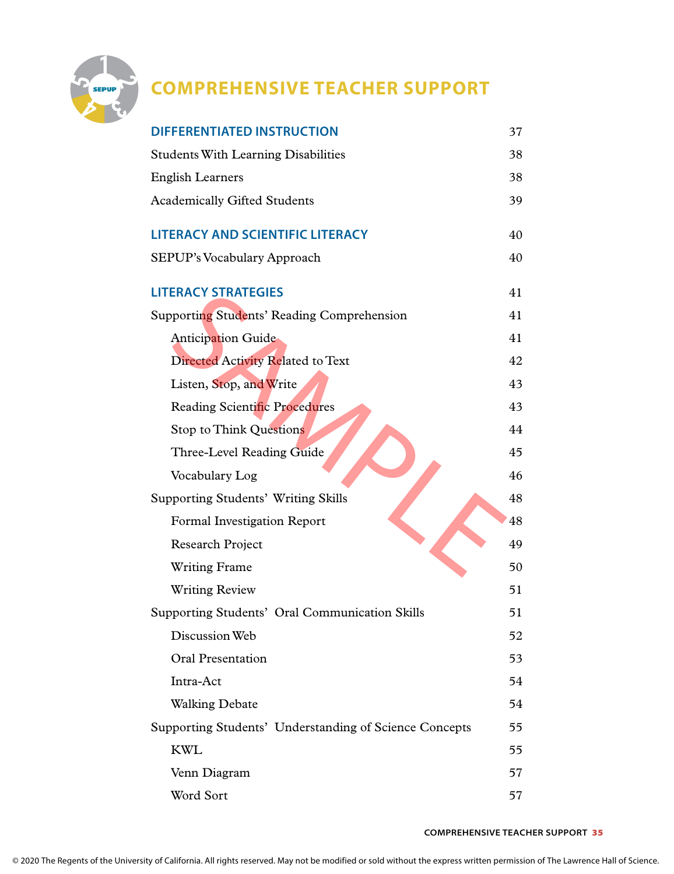

## **COMPREHENSIVE TEACHER SUPPORT**

| <b>DIFFERENTIATED INSTRUCTION</b>                      | 37 |
|--------------------------------------------------------|----|
| <b>Students With Learning Disabilities</b>             | 38 |
| <b>English Learners</b>                                | 38 |
| <b>Academically Gifted Students</b>                    | 39 |
| <b>LITERACY AND SCIENTIFIC LITERACY</b>                | 40 |
| SEPUP's Vocabulary Approach                            | 40 |
| <b>LITERACY STRATEGIES</b>                             | 41 |
| Supporting Students' Reading Comprehension             | 41 |
| <b>Anticipation Guide</b>                              | 41 |
| Directed Activity Related to Text                      | 42 |
| Listen, Stop, and Write                                | 43 |
| <b>Reading Scientific Procedures</b>                   | 43 |
| <b>Stop to Think Questions</b>                         | 44 |
| Three-Level Reading Guide                              | 45 |
| Vocabulary Log                                         | 46 |
| <b>Supporting Students' Writing Skills</b>             | 48 |
| Formal Investigation Report                            | 48 |
| <b>Research Project</b>                                | 49 |
| <b>Writing Frame</b>                                   | 50 |
| <b>Writing Review</b>                                  | 51 |
| Supporting Students' Oral Communication Skills         | 51 |
| Discussion Web                                         | 52 |
| <b>Oral Presentation</b>                               | 53 |
| Intra-Act                                              | 54 |
| <b>Walking Debate</b>                                  | 54 |
| Supporting Students' Understanding of Science Concepts | 55 |
| <b>KWL</b>                                             | 55 |
| Venn Diagram                                           | 57 |
| Word Sort                                              | 57 |

## **COMPREHENSIVE TEACHER SUPPORT** 35